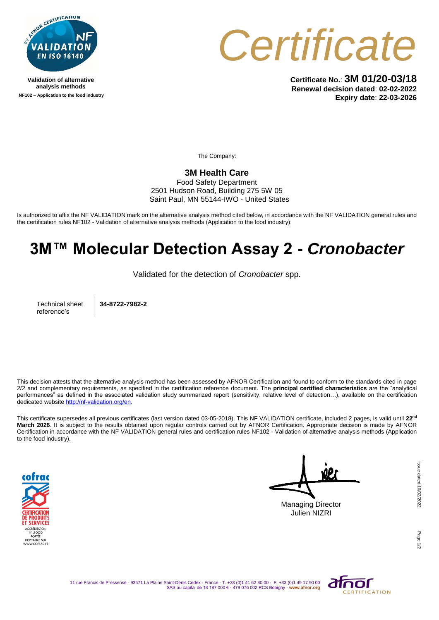

**Validation of alternative analysis methods NF102 – Application to the food industry**



**Certificate No.**: **3M 01/20-03/18 Renewal decision dated**: **02-02-2022 Expiry date**: **22-03-2026**

The Company:

## **3M Health Care**

Food Safety Department 2501 Hudson Road, Building 275 5W 05 Saint Paul, MN 55144-IWO - United States

Is authorized to affix the NF VALIDATION mark on the alternative analysis method cited below, in accordance with the NF VALIDATION general rules and the certification rules NF102 - Validation of alternative analysis methods (Application to the food industry):

## **3M™ Molecular Detection Assay 2 -** *Cronobacter*

Validated for the detection of *Cronobacter* spp.

Technical sheet reference's

**34-8722-7982-2**

This decision attests that the alternative analysis method has been assessed by AFNOR Certification and found to conform to the standards cited in page 2/2 and complementary requirements, as specified in the certification reference document. The **principal certified characteristics** are the "analytical performances" as defined in the associated validation study summarized report (sensitivity, relative level of detection…), available on the certification dedicated websit[e http://nf-validation.org/en.](http://nf-validation.org/en)

This certificate supersedes all previous certificates (last version dated 03-05-2018). This NF VALIDATION certificate, included 2 pages, is valid until **22nd March 2026**. It is subject to the results obtained upon regular controls carried out by AFNOR Certification. Appropriate decision is made by AFNOR Certification in accordance with the NF VALIDATION general rules and certification rules NF102 - Validation of alternative analysis methods (Application to the food industry).



Managing Director Julien NIZRI

Page